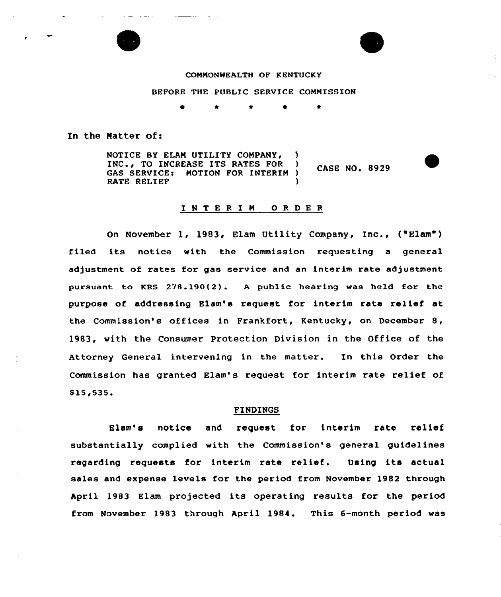

## CONNONWEALTH OF KENTUCKY

BEFORE THE PUBLIC SERVICE CONNISSION

\* \* \*

In the Natter of:

NOTICE BY ELAM UTILITY COMPANY, INC., TO INCREASE ITS RATES FOR ) CASE NO. 8929 GAS SERVICE: MOTION FOR INTERIM )<br>RATE RELIEF RATE RELIEF

## INTERIM ORDER

On November 1, 1983, Elam Utility Company, Inc., ("Elam") filed its notice with the Commission requesting a general adjustment of rates for gas service and an interim rate adjustment pursuant to KRS 278.190(2). <sup>A</sup> public hearing was held for the purpose of addressing Elam's request for interim rate relief at the Commission's offices in Frankfort, Kentucky, on December 8, 1983, vith the Consumer Protection Division in the Office of the Attorney General intervening in the matter. In this Order the Commission has granted Elam's request for interim rate relief of \$15,535.

#### FINDINGS

Elam's notice and request for interim rate relie: substantially complied with the Commission's general guidelines regarding requests for interim rate relief. Using its actual sales and expense levels for the period from November 1982 through April 1983 Elam projected its operating results for the period from November 1983 through April 1984. This 6-month period was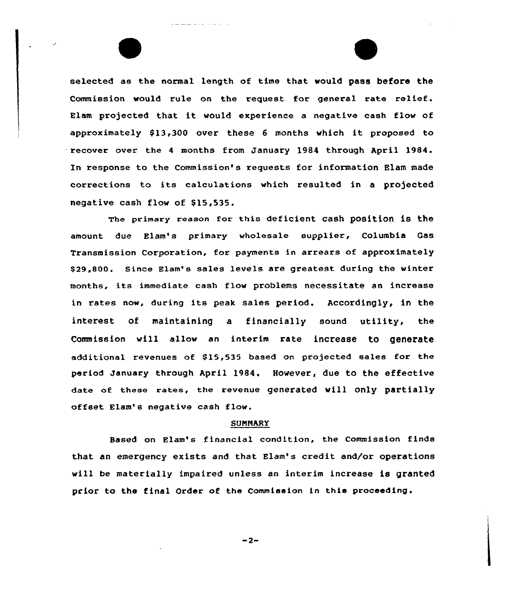selected as the normal length of time that would pass before the Commission would rule on the request for general rate relief. Blam projected that it would experience <sup>a</sup> negative cash flow of approximately \$13,300 over these 6 months which it proposed to recover over the 4 months from January 1984 through April 1984. In response to the Commission's requests for information Blam made corrections to its calculations which resulted in <sup>a</sup> projected negative cash flow of \$15,535.

The primary reason for this deficient cash position is the amount; due Elam's primary wholesale supplier, Columbia Gas Transmission Corporation, for payments in arrears of approximately \$29,800. Since Elam's sales levels are greatest during the winter months, its immediate cash flow problems necessitate an increase in rates now, during its peak sales period. Accordingly, in the interest of maintaining a financially sound utility, the Commission will allow an interim rate increase to generate additional revenues of \$15,535 based on projected sales for the period January through April 1984. However, due to the effective date of these rates, the revenue generated will only partially offset Elam's negative cash flow.

#### **SUMMARY**

Based on Elam's financial condition, the Commission finds that an emergency exists and that Elam's credit and/or operations will be materially impaired unless an interim increase is granted prior to the final Order of the Commission in this proceeding.

 $-2-$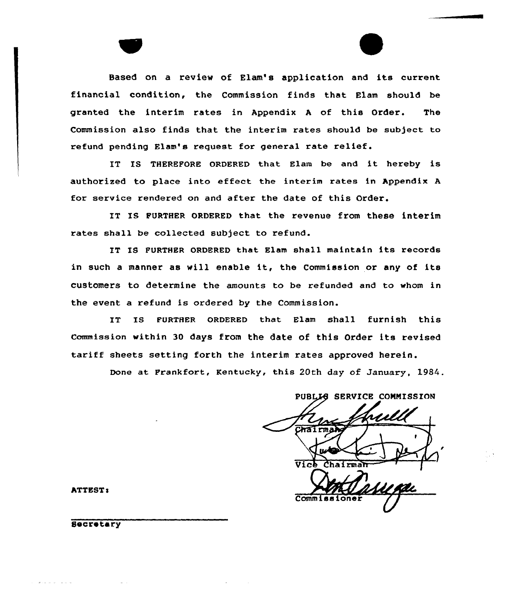Based on a review of Elam's application and its current financial condition, the Commission finds that Elam should be granted the interim rates in Appendix <sup>A</sup> of this Order. The Commission also finds that the interim rates should be subject to refund pending Elam's request for general rate relief.

IT IS THEREFORE ORDERED that Blam be and it hereby is authorized to place into effect the interim rates in Appendix <sup>A</sup> for service rendered on and after the date of this Order.

IT IS FURTHER ORDERED that the revenue from these interim rates shall be collected subject to refund.

IT IS FURTHER ORDERED that Elam shall maintain its records in such <sup>a</sup> manner as will enable it, the Commission or any of its customers to determine the amounts to be refunded and to whom in the event a refund is ordered by the Commission.

IT IS FURTHER ORDERED that Elam shall furnish this Commission within 30 days from the date of this Order its revised tariff sheets setting forth the interim rates approved herein.

Done at Frankfort, Kentucky, this 20th day of January, 1984.

PUBLIG SERVICE COMMISSION  $C<sub>h</sub>$ al  $\overline{v_{1cb}}$ 

Comm 1

ATTEST:

Secretary

and a company